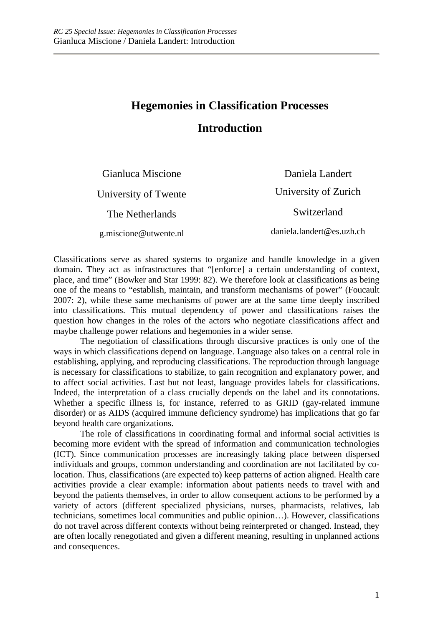## **Hegemonies in Classification Processes**

## **Introduction**

| Gianluca Miscione     | Daniela Landert           |
|-----------------------|---------------------------|
| University of Twente  | University of Zurich      |
| The Netherlands       | Switzerland               |
| g.miscione@utwente.nl | daniela.landert@es.uzh.ch |

Classifications serve as shared systems to organize and handle knowledge in a given domain. They act as infrastructures that "[enforce] a certain understanding of context, place, and time" (Bowker and Star 1999: 82). We therefore look at classifications as being one of the means to "establish, maintain, and transform mechanisms of power" (Foucault 2007: 2), while these same mechanisms of power are at the same time deeply inscribed into classifications. This mutual dependency of power and classifications raises the question how changes in the roles of the actors who negotiate classifications affect and maybe challenge power relations and hegemonies in a wider sense.

The negotiation of classifications through discursive practices is only one of the ways in which classifications depend on language. Language also takes on a central role in establishing, applying, and reproducing classifications. The reproduction through language is necessary for classifications to stabilize, to gain recognition and explanatory power, and to affect social activities. Last but not least, language provides labels for classifications. Indeed, the interpretation of a class crucially depends on the label and its connotations. Whether a specific illness is, for instance, referred to as GRID (gay-related immune disorder) or as AIDS (acquired immune deficiency syndrome) has implications that go far beyond health care organizations.

The role of classifications in coordinating formal and informal social activities is becoming more evident with the spread of information and communication technologies (ICT). Since communication processes are increasingly taking place between dispersed individuals and groups, common understanding and coordination are not facilitated by colocation. Thus, classifications (are expected to) keep patterns of action aligned. Health care activities provide a clear example: information about patients needs to travel with and beyond the patients themselves, in order to allow consequent actions to be performed by a variety of actors (different specialized physicians, nurses, pharmacists, relatives, lab technicians, sometimes local communities and public opinion…). However, classifications do not travel across different contexts without being reinterpreted or changed. Instead, they are often locally renegotiated and given a different meaning, resulting in unplanned actions and consequences.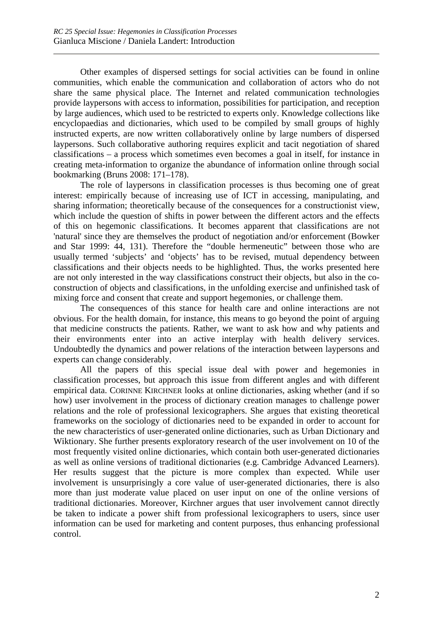Other examples of dispersed settings for social activities can be found in online communities, which enable the communication and collaboration of actors who do not share the same physical place. The Internet and related communication technologies provide laypersons with access to information, possibilities for participation, and reception by large audiences, which used to be restricted to experts only. Knowledge collections like encyclopaedias and dictionaries, which used to be compiled by small groups of highly instructed experts, are now written collaboratively online by large numbers of dispersed laypersons. Such collaborative authoring requires explicit and tacit negotiation of shared classifications – a process which sometimes even becomes a goal in itself, for instance in creating meta-information to organize the abundance of information online through social bookmarking (Bruns 2008: 171–178).

The role of laypersons in classification processes is thus becoming one of great interest: empirically because of increasing use of ICT in accessing, manipulating, and sharing information; theoretically because of the consequences for a constructionist view, which include the question of shifts in power between the different actors and the effects of this on hegemonic classifications. It becomes apparent that classifications are not 'natural' since they are themselves the product of negotiation and/or enforcement (Bowker and Star 1999: 44, 131). Therefore the "double hermeneutic" between those who are usually termed 'subjects' and 'objects' has to be revised, mutual dependency between classifications and their objects needs to be highlighted. Thus, the works presented here are not only interested in the way classifications construct their objects, but also in the coconstruction of objects and classifications, in the unfolding exercise and unfinished task of mixing force and consent that create and support hegemonies, or challenge them.

The consequences of this stance for health care and online interactions are not obvious. For the health domain, for instance, this means to go beyond the point of arguing that medicine constructs the patients. Rather, we want to ask how and why patients and their environments enter into an active interplay with health delivery services. Undoubtedly the dynamics and power relations of the interaction between laypersons and experts can change considerably.

All the papers of this special issue deal with power and hegemonies in classification processes, but approach this issue from different angles and with different empirical data. CORINNE KIRCHNER looks at online dictionaries, asking whether (and if so how) user involvement in the process of dictionary creation manages to challenge power relations and the role of professional lexicographers. She argues that existing theoretical frameworks on the sociology of dictionaries need to be expanded in order to account for the new characteristics of user-generated online dictionaries, such as Urban Dictionary and Wiktionary. She further presents exploratory research of the user involvement on 10 of the most frequently visited online dictionaries, which contain both user-generated dictionaries as well as online versions of traditional dictionaries (e.g. Cambridge Advanced Learners). Her results suggest that the picture is more complex than expected. While user involvement is unsurprisingly a core value of user-generated dictionaries, there is also more than just moderate value placed on user input on one of the online versions of traditional dictionaries. Moreover, Kirchner argues that user involvement cannot directly be taken to indicate a power shift from professional lexicographers to users, since user information can be used for marketing and content purposes, thus enhancing professional control.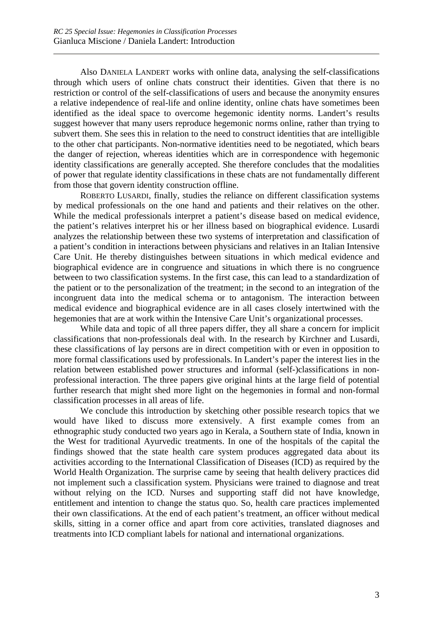Also DANIELA LANDERT works with online data, analysing the self-classifications through which users of online chats construct their identities. Given that there is no restriction or control of the self-classifications of users and because the anonymity ensures a relative independence of real-life and online identity, online chats have sometimes been identified as the ideal space to overcome hegemonic identity norms. Landert's results suggest however that many users reproduce hegemonic norms online, rather than trying to subvert them. She sees this in relation to the need to construct identities that are intelligible to the other chat participants. Non-normative identities need to be negotiated, which bears the danger of rejection, whereas identities which are in correspondence with hegemonic identity classifications are generally accepted. She therefore concludes that the modalities of power that regulate identity classifications in these chats are not fundamentally different from those that govern identity construction offline.

ROBERTO LUSARDI, finally, studies the reliance on different classification systems by medical professionals on the one hand and patients and their relatives on the other. While the medical professionals interpret a patient's disease based on medical evidence, the patient's relatives interpret his or her illness based on biographical evidence. Lusardi analyzes the relationship between these two systems of interpretation and classification of a patient's condition in interactions between physicians and relatives in an Italian Intensive Care Unit. He thereby distinguishes between situations in which medical evidence and biographical evidence are in congruence and situations in which there is no congruence between to two classification systems. In the first case, this can lead to a standardization of the patient or to the personalization of the treatment; in the second to an integration of the incongruent data into the medical schema or to antagonism. The interaction between medical evidence and biographical evidence are in all cases closely intertwined with the hegemonies that are at work within the Intensive Care Unit's organizational processes.

While data and topic of all three papers differ, they all share a concern for implicit classifications that non-professionals deal with. In the research by Kirchner and Lusardi, these classifications of lay persons are in direct competition with or even in opposition to more formal classifications used by professionals. In Landert's paper the interest lies in the relation between established power structures and informal (self-)classifications in nonprofessional interaction. The three papers give original hints at the large field of potential further research that might shed more light on the hegemonies in formal and non-formal classification processes in all areas of life.

We conclude this introduction by sketching other possible research topics that we would have liked to discuss more extensively. A first example comes from an ethnographic study conducted two years ago in Kerala, a Southern state of India, known in the West for traditional Ayurvedic treatments. In one of the hospitals of the capital the findings showed that the state health care system produces aggregated data about its activities according to the International Classification of Diseases (ICD) as required by the World Health Organization. The surprise came by seeing that health delivery practices did not implement such a classification system. Physicians were trained to diagnose and treat without relying on the ICD. Nurses and supporting staff did not have knowledge, entitlement and intention to change the status quo. So, health care practices implemented their own classifications. At the end of each patient's treatment, an officer without medical skills, sitting in a corner office and apart from core activities, translated diagnoses and treatments into ICD compliant labels for national and international organizations.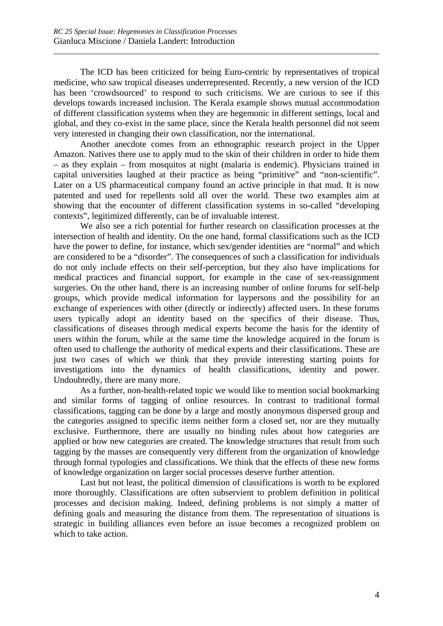The ICD has been criticized for being Euro-centric by representatives of tropical medicine, who saw tropical diseases underrepresented. Recently, a new version of the ICD has been 'crowdsourced' to respond to such criticisms. We are curious to see if this develops towards increased inclusion. The Kerala example shows mutual accommodation of different classification systems when they are hegemonic in different settings, local and global, and they co-exist in the same place, since the Kerala health personnel did not seem very interested in changing their own classification, nor the international.

Another anecdote comes from an ethnographic research project in the Upper Amazon. Natives there use to apply mud to the skin of their children in order to hide them – as they explain – from mosquitos at night (malaria is endemic). Physicians trained in capital universities laughed at their practice as being "primitive" and "non-scientific". Later on a US pharmaceutical company found an active principle in that mud. It is now patented and used for repellents sold all over the world. These two examples aim at showing that the encounter of different classification systems in so-called "developing contexts", legitimized differently, can be of invaluable interest.

We also see a rich potential for further research on classification processes at the intersection of health and identity. On the one hand, formal classifications such as the ICD have the power to define, for instance, which sex/gender identities are "normal" and which are considered to be a "disorder". The consequences of such a classification for individuals do not only include effects on their self-perception, but they also have implications for medical practices and financial support, for example in the case of sex-reassignment surgeries. On the other hand, there is an increasing number of online forums for self-help groups, which provide medical information for laypersons and the possibility for an exchange of experiences with other (directly or indirectly) affected users. In these forums users typically adopt an identity based on the specifics of their disease. Thus, classifications of diseases through medical experts become the basis for the identity of users within the forum, while at the same time the knowledge acquired in the forum is often used to challenge the authority of medical experts and their classifications. These are just two cases of which we think that they provide interesting starting points for investigations into the dynamics of health classifications, identity and power. Undoubtedly, there are many more.

As a further, non-health-related topic we would like to mention social bookmarking and similar forms of tagging of online resources. In contrast to traditional formal classifications, tagging can be done by a large and mostly anonymous dispersed group and the categories assigned to specific items neither form a closed set, nor are they mutually exclusive. Furthermore, there are usually no binding rules about how categories are applied or how new categories are created. The knowledge structures that result from such tagging by the masses are consequently very different from the organization of knowledge through formal typologies and classifications. We think that the effects of these new forms of knowledge organization on larger social processes deserve further attention.

Last but not least, the political dimension of classifications is worth to be explored more thoroughly. Classifications are often subservient to problem definition in political processes and decision making. Indeed, defining problems is not simply a matter of defining goals and measuring the distance from them. The representation of situations is strategic in building alliances even before an issue becomes a recognized problem on which to take action.